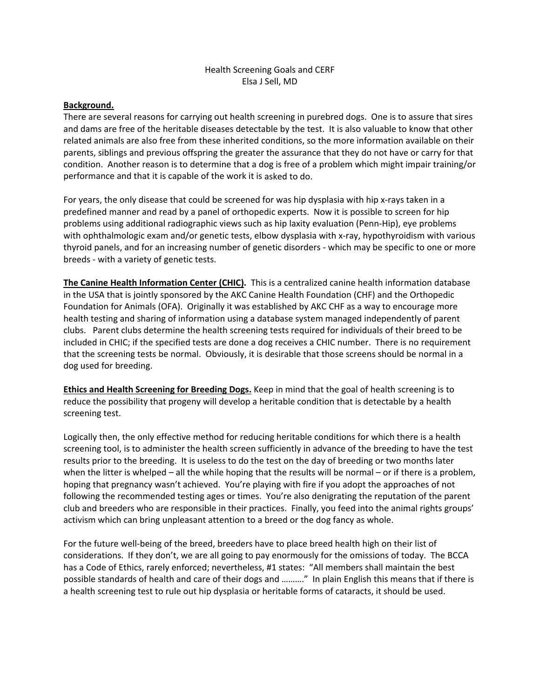# Health Screening Goals and CERF Elsa J Sell, MD

### **Background.**

There are several reasons for carrying out health screening in purebred dogs. One is to assure that sires and dams are free of the heritable diseases detectable by the test. It is also valuable to know that other related animals are also free from these inherited conditions, so the more information available on their parents, siblings and previous offspring the greater the assurance that they do not have or carry for that condition. Another reason is to determine that a dog is free of a problem which might impair training/or performance and that it is capable of the work it is asked to do.

For years, the only disease that could be screened for was hip dysplasia with hip x-rays taken in a predefined manner and read by a panel of orthopedic experts. Now it is possible to screen for hip problems using additional radiographic views such as hip laxity evaluation (Penn‐Hip), eye problems with ophthalmologic exam and/or genetic tests, elbow dysplasia with x-ray, hypothyroidism with various thyroid panels, and for an increasing number of genetic disorders ‐ which may be specific to one or more breeds ‐ with a variety of genetic tests.

**The Canine Health Information Center (CHIC).** This is a centralized canine health information database in the USA that is jointly sponsored by the AKC Canine Health Foundation (CHF) and the Orthopedic Foundation for Animals (OFA). Originally it was established by AKC CHF as a way to encourage more health testing and sharing of information using a database system managed independently of parent clubs. Parent clubs determine the health screening tests required for individuals of their breed to be included in CHIC; if the specified tests are done a dog receives a CHIC number. There is no requirement that the screening tests be normal. Obviously, it is desirable that those screens should be normal in a dog used for breeding.

**Ethics and Health Screening for Breeding Dogs.** Keep in mind that the goal of health screening is to reduce the possibility that progeny will develop a heritable condition that is detectable by a health screening test.

Logically then, the only effective method for reducing heritable conditions for which there is a health screening tool, is to administer the health screen sufficiently in advance of the breeding to have the test results prior to the breeding. It is useless to do the test on the day of breeding or two months later when the litter is whelped – all the while hoping that the results will be normal – or if there is a problem, hoping that pregnancy wasn't achieved. You're playing with fire if you adopt the approaches of not following the recommended testing ages or times. You're also denigrating the reputation of the parent club and breeders who are responsible in their practices. Finally, you feed into the animal rights groups' activism which can bring unpleasant attention to a breed or the dog fancy as whole.

For the future well-being of the breed, breeders have to place breed health high on their list of considerations. If they don't, we are all going to pay enormously for the omissions of today. The BCCA has a Code of Ethics, rarely enforced; nevertheless, #1 states: "All members shall maintain the best possible standards of health and care of their dogs and ………." In plain English this means that if there is a health screening test to rule out hip dysplasia or heritable forms of cataracts, it should be used.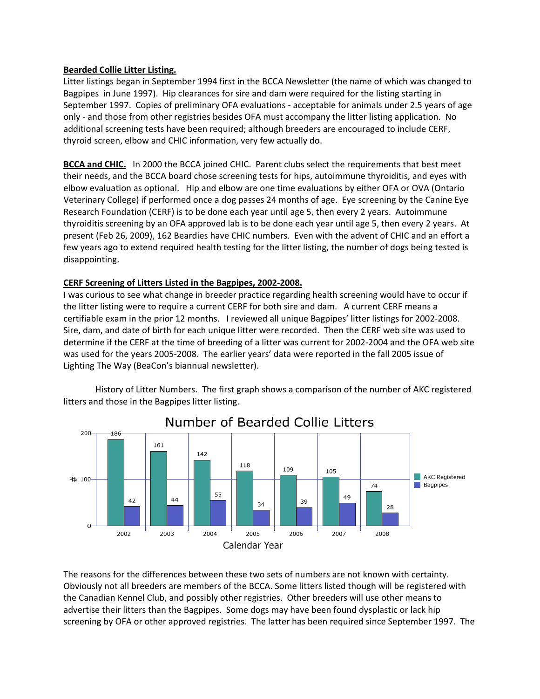# **Bearded Collie Litter Listing.**

Litter listings began in September 1994 first in the BCCA Newsletter (the name of which was changed to Bagpipes in June 1997). Hip clearances for sire and dam were required for the listing starting in September 1997. Copies of preliminary OFA evaluations ‐ acceptable for animals under 2.5 years of age only - and those from other registries besides OFA must accompany the litter listing application. No additional screening tests have been required; although breeders are encouraged to include CERF, thyroid screen, elbow and CHIC information, very few actually do.

**BCCA and CHIC.** In 2000 the BCCA joined CHIC. Parent clubs select the requirements that best meet their needs, and the BCCA board chose screening tests for hips, autoimmune thyroiditis, and eyes with elbow evaluation as optional. Hip and elbow are one time evaluations by either OFA or OVA (Ontario Veterinary College) if performed once a dog passes 24 months of age. Eye screening by the Canine Eye Research Foundation (CERF) is to be done each year until age 5, then every 2 years. Autoimmune thyroiditis screening by an OFA approved lab is to be done each year until age 5, then every 2 years. At present (Feb 26, 2009), 162 Beardies have CHIC numbers. Even with the advent of CHIC and an effort a few years ago to extend required health testing for the litter listing, the number of dogs being tested is disappointing.

### **CERF Screening of Litters Listed in the Bagpipes, 2002‐2008.**

I was curious to see what change in breeder practice regarding health screening would have to occur if the litter listing were to require a current CERF for both sire and dam. A current CERF means a certifiable exam in the prior 12 months. I reviewed all unique Bagpipes' litter listings for 2002‐2008. Sire, dam, and date of birth for each unique litter were recorded. Then the CERF web site was used to determine if the CERF at the time of breeding of a litter was current for 2002‐2004 and the OFA web site was used for the years 2005‐2008. The earlier years' data were reported in the fall 2005 issue of Lighting The Way (BeaCon's biannual newsletter).

History of Litter Numbers. The first graph shows a comparison of the number of AKC registered litters and those in the Bagpipes litter listing.



The reasons for the differences between these two sets of numbers are not known with certainty. Obviously not all breeders are members of the BCCA. Some litters listed though will be registered with the Canadian Kennel Club, and possibly other registries. Other breeders will use other means to advertise their litters than the Bagpipes. Some dogs may have been found dysplastic or lack hip screening by OFA or other approved registries. The latter has been required since September 1997. The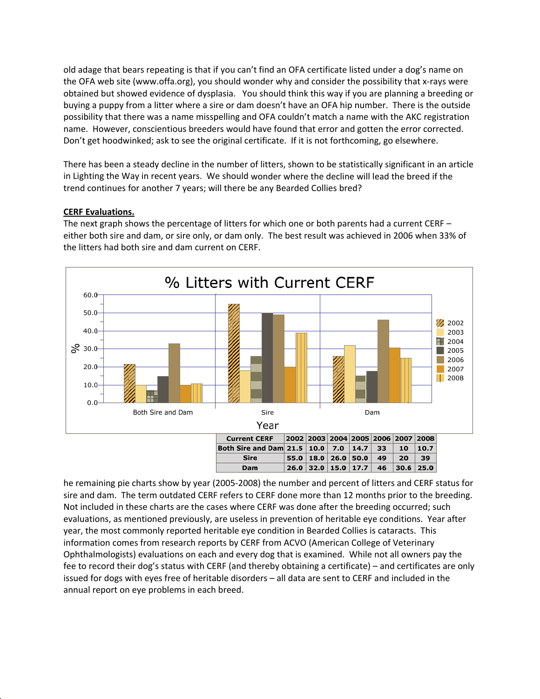old adage that bears repeating is that if you can't find an OFA certificate listed under a dog's name on the OFA web site (www.offa.org), you should wonder why and consider the possibility that x-rays were obtained but showed evidence of dysplasia. You should think this way if you are planning a breeding or buying a puppy from a litter where a sire or dam doesn't have an OFA hip number. There is the outside possibility that there was a name misspelling and OFA couldn't match a name with the AKC registration name. However, conscientious breeders would have found that error and gotten the error corrected. Don't get hoodwinked; ask to see the original certificate. If it is not forthcoming, go elsewhere.

There has been a steady decline in the number of litters, shown to be statistically significant in an article in Lighting the Way in recent years. We should wonder where the decline will lead the breed if the trend continues for another 7 years; will there be any Bearded Collies bred?

# **CERF Evaluations.**

The next graph shows the percentage of litters for which one or both parents had a current CERF – either both sire and dam, or sire only, or dam only. The best result was achieved in 2006 when 33% of the litters had both sire and dam current on CERF.



he remaining pie charts show by year (2005-2008) the number and percent of litters and CERF status for sire and dam. The term outdated CERF refers to CERF done more than 12 months prior to the breeding. Not included in these charts are the cases where CERF was done after the breeding occurred; such evaluations, as mentioned previously, are useless in prevention of heritable eye conditions. Year after year, the most commonly reported heritable eye condition in Bearded Collies is cataracts. This information comes from research reports by CERF from ACVO (American College of Veterinary Ophthalmologists) evaluations on each and every dog that is examined. While not all owners pay the fee to record their dog's status with CERF (and thereby obtaining a certificate) – and certificates are only issued for dogs with eyes free of heritable disorders – all data are sent to CERF and included in the annual report on eye problems in each breed.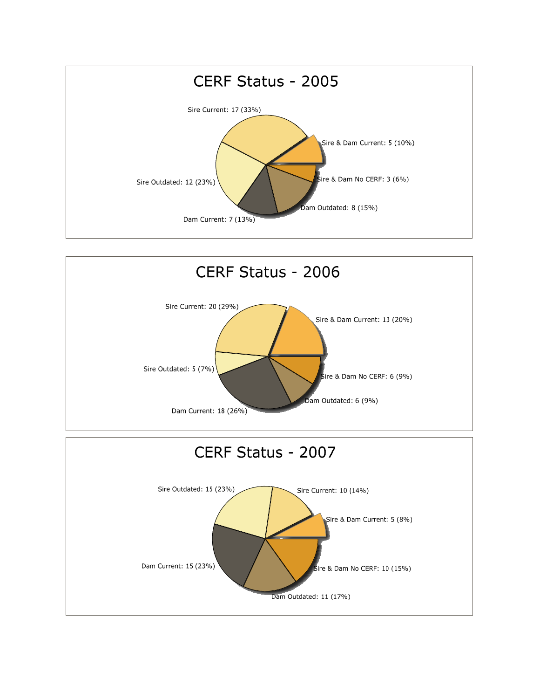